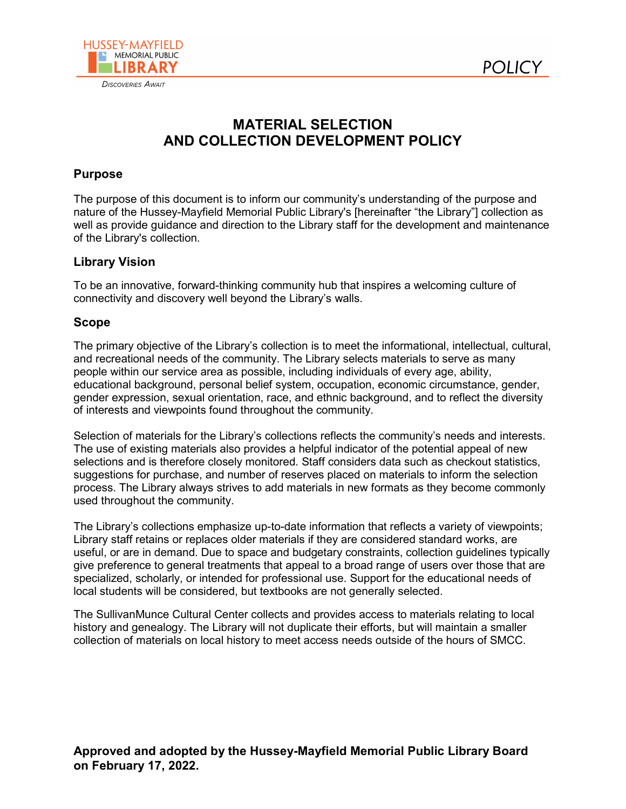



# **MATERIAL SELECTION AND COLLECTION DEVELOPMENT POLICY**

# **Purpose**

The purpose of this document is to inform our community's understanding of the purpose and nature of the Hussey-Mayfield Memorial Public Library's [hereinafter "the Library"] collection as well as provide guidance and direction to the Library staff for the development and maintenance of the Library's collection.

# **Library Vision**

To be an innovative, forward-thinking community hub that inspires a welcoming culture of connectivity and discovery well beyond the Library's walls.

# **Scope**

The primary objective of the Library's collection is to meet the informational, intellectual, cultural, and recreational needs of the community. The Library selects materials to serve as many people within our service area as possible, including individuals of every age, ability, educational background, personal belief system, occupation, economic circumstance, gender, gender expression, sexual orientation, race, and ethnic background, and to reflect the diversity of interests and viewpoints found throughout the community.

Selection of materials for the Library's collections reflects the community's needs and interests. The use of existing materials also provides a helpful indicator of the potential appeal of new selections and is therefore closely monitored. Staff considers data such as checkout statistics, suggestions for purchase, and number of reserves placed on materials to inform the selection process. The Library always strives to add materials in new formats as they become commonly used throughout the community.

The Library's collections emphasize up-to-date information that reflects a variety of viewpoints; Library staff retains or replaces older materials if they are considered standard works, are useful, or are in demand. Due to space and budgetary constraints, collection guidelines typically give preference to general treatments that appeal to a broad range of users over those that are specialized, scholarly, or intended for professional use. Support for the educational needs of local students will be considered, but textbooks are not generally selected.

The SullivanMunce Cultural Center collects and provides access to materials relating to local history and genealogy. The Library will not duplicate their efforts, but will maintain a smaller collection of materials on local history to meet access needs outside of the hours of SMCC.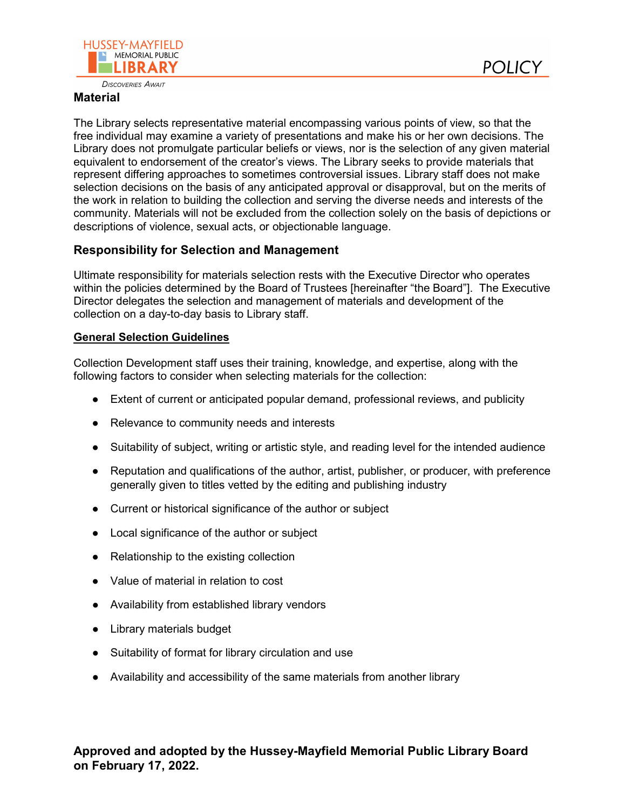



**DISCOVERIES AWAIT** 

#### **Material**

The Library selects representative material encompassing various points of view, so that the free individual may examine a variety of presentations and make his or her own decisions. The Library does not promulgate particular beliefs or views, nor is the selection of any given material equivalent to endorsement of the creator's views. The Library seeks to provide materials that represent differing approaches to sometimes controversial issues. Library staff does not make selection decisions on the basis of any anticipated approval or disapproval, but on the merits of the work in relation to building the collection and serving the diverse needs and interests of the community. Materials will not be excluded from the collection solely on the basis of depictions or descriptions of violence, sexual acts, or objectionable language.

# **Responsibility for Selection and Management**

Ultimate responsibility for materials selection rests with the Executive Director who operates within the policies determined by the Board of Trustees [hereinafter "the Board"]. The Executive Director delegates the selection and management of materials and development of the collection on a day-to-day basis to Library staff.

# **General Selection Guidelines**

Collection Development staff uses their training, knowledge, and expertise, along with the following factors to consider when selecting materials for the collection:

- Extent of current or anticipated popular demand, professional reviews, and publicity
- Relevance to community needs and interests
- Suitability of subject, writing or artistic style, and reading level for the intended audience
- Reputation and qualifications of the author, artist, publisher, or producer, with preference generally given to titles vetted by the editing and publishing industry
- Current or historical significance of the author or subject
- Local significance of the author or subject
- Relationship to the existing collection
- Value of material in relation to cost
- Availability from established library vendors
- Library materials budget
- Suitability of format for library circulation and use
- Availability and accessibility of the same materials from another library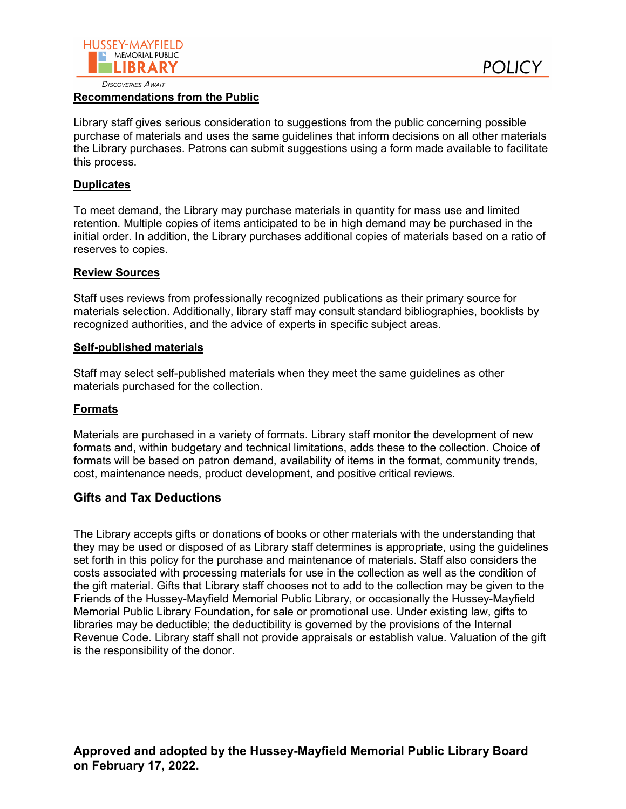

#### **DISCOVERIES AWAIT**

#### **Recommendations from the Public**

Library staff gives serious consideration to suggestions from the public concerning possible purchase of materials and uses the same guidelines that inform decisions on all other materials the Library purchases. Patrons can submit suggestions using a form made available to facilitate this process.

### **Duplicates**

To meet demand, the Library may purchase materials in quantity for mass use and limited retention. Multiple copies of items anticipated to be in high demand may be purchased in the initial order. In addition, the Library purchases additional copies of materials based on a ratio of reserves to copies.

#### **Review Sources**

Staff uses reviews from professionally recognized publications as their primary source for materials selection. Additionally, library staff may consult standard bibliographies, booklists by recognized authorities, and the advice of experts in specific subject areas.

#### **Self-published materials**

Staff may select self-published materials when they meet the same guidelines as other materials purchased for the collection.

#### **Formats**

Materials are purchased in a variety of formats. Library staff monitor the development of new formats and, within budgetary and technical limitations, adds these to the collection. Choice of formats will be based on patron demand, availability of items in the format, community trends, cost, maintenance needs, product development, and positive critical reviews.

# **Gifts and Tax Deductions**

The Library accepts gifts or donations of books or other materials with the understanding that they may be used or disposed of as Library staff determines is appropriate, using the guidelines set forth in this policy for the purchase and maintenance of materials. Staff also considers the costs associated with processing materials for use in the collection as well as the condition of the gift material. Gifts that Library staff chooses not to add to the collection may be given to the Friends of the Hussey-Mayfield Memorial Public Library, or occasionally the Hussey-Mayfield Memorial Public Library Foundation, for sale or promotional use. Under existing law, gifts to libraries may be deductible; the deductibility is governed by the provisions of the Internal Revenue Code. Library staff shall not provide appraisals or establish value. Valuation of the gift is the responsibility of the donor.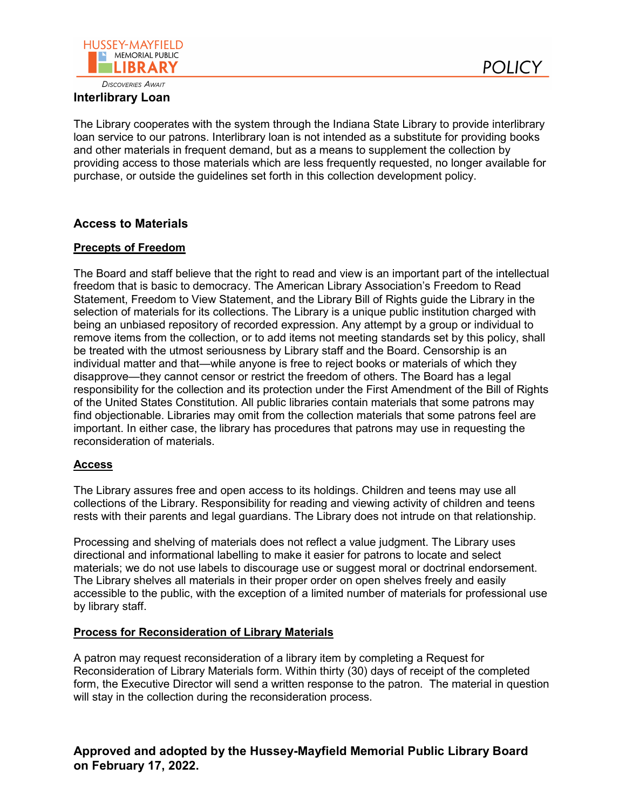

# **Interlibrary Loan**

The Library cooperates with the system through the Indiana State Library to provide interlibrary loan service to our patrons. Interlibrary loan is not intended as a substitute for providing books and other materials in frequent demand, but as a means to supplement the collection by providing access to those materials which are less frequently requested, no longer available for purchase, or outside the guidelines set forth in this collection development policy.

**POLICY** 

# **Access to Materials**

# **Precepts of Freedom**

The Board and staff believe that the right to read and view is an important part of the intellectual freedom that is basic to democracy. The American Library Association's Freedom to Read Statement, Freedom to View Statement, and the Library Bill of Rights guide the Library in the selection of materials for its collections. The Library is a unique public institution charged with being an unbiased repository of recorded expression. Any attempt by a group or individual to remove items from the collection, or to add items not meeting standards set by this policy, shall be treated with the utmost seriousness by Library staff and the Board. Censorship is an individual matter and that—while anyone is free to reject books or materials of which they disapprove—they cannot censor or restrict the freedom of others. The Board has a legal responsibility for the collection and its protection under the First Amendment of the Bill of Rights of the United States Constitution. All public libraries contain materials that some patrons may find objectionable. Libraries may omit from the collection materials that some patrons feel are important. In either case, the library has procedures that patrons may use in requesting the reconsideration of materials.

#### **Access**

The Library assures free and open access to its holdings. Children and teens may use all collections of the Library. Responsibility for reading and viewing activity of children and teens rests with their parents and legal guardians. The Library does not intrude on that relationship.

Processing and shelving of materials does not reflect a value judgment. The Library uses directional and informational labelling to make it easier for patrons to locate and select materials; we do not use labels to discourage use or suggest moral or doctrinal endorsement. The Library shelves all materials in their proper order on open shelves freely and easily accessible to the public, with the exception of a limited number of materials for professional use by library staff.

#### **Process for Reconsideration of Library Materials**

A patron may request reconsideration of a library item by completing a Request for Reconsideration of Library Materials form. Within thirty (30) days of receipt of the completed form, the Executive Director will send a written response to the patron. The material in question will stay in the collection during the reconsideration process.

**Approved and adopted by the Hussey-Mayfield Memorial Public Library Board on February 17, 2022.**